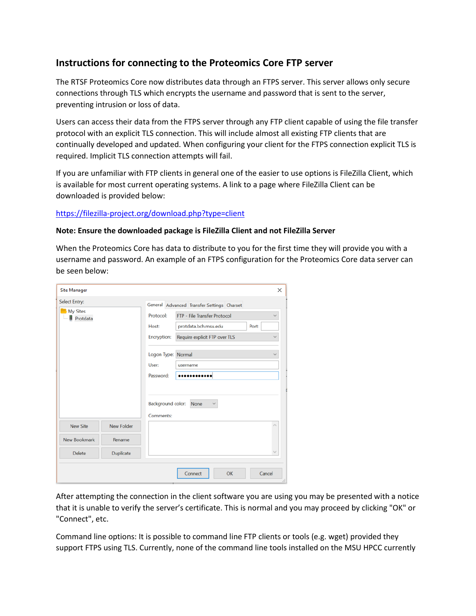## **Instructions for connecting to the Proteomics Core FTP server**

The RTSF Proteomics Core now distributes data through an FTPS server. This server allows only secure connections through TLS which encrypts the username and password that is sent to the server, preventing intrusion or loss of data.

Users can access their data from the FTPS server through any FTP client capable of using the file transfer protocol with an explicit TLS connection. This will include almost all existing FTP clients that are continually developed and updated. When configuring your client for the FTPS connection explicit TLS is required. Implicit TLS connection attempts will fail.

If you are unfamiliar with FTP clients in general one of the easier to use options is FileZilla Client, which is available for most current operating systems. A link to a page where FileZilla Client can be downloaded is provided below:

## <https://filezilla-project.org/download.php?type=client>

## **Note: Ensure the downloaded package is FileZilla Client and not FileZilla Server**

When the Proteomics Core has data to distribute to you for the first time they will provide you with a username and password. An example of an FTPS configuration for the Proteomics Core data server can be seen below:

| <b>Site Manager</b>         |                   |                                                                                                                                     | $\times$ |
|-----------------------------|-------------------|-------------------------------------------------------------------------------------------------------------------------------------|----------|
| Select Entry:               |                   | General Advanced Transfer Settings Charset                                                                                          |          |
| <b>My Sites</b><br>Protdata |                   | FTP - File Transfer Protocol<br>Protocol:<br>protdata.bch.msu.edu<br>Port:<br>Host:<br>Require explicit FTP over TLS<br>Encryption: |          |
|                             |                   | Logon Type:<br>Normal<br>User:<br>username<br>Password:<br>.                                                                        |          |
|                             |                   | Background color:<br>None<br>Comments:                                                                                              |          |
| <b>New Site</b>             | <b>New Folder</b> |                                                                                                                                     |          |
| New Bookmark                | Rename            |                                                                                                                                     |          |
| <b>Delete</b>               | Duplicate         |                                                                                                                                     |          |
|                             |                   | Connect<br>OK                                                                                                                       | Cancel   |

After attempting the connection in the client software you are using you may be presented with a notice that it is unable to verify the server's certificate. This is normal and you may proceed by clicking "OK" or "Connect", etc.

Command line options: It is possible to command line FTP clients or tools (e.g. wget) provided they support FTPS using TLS. Currently, none of the command line tools installed on the MSU HPCC currently